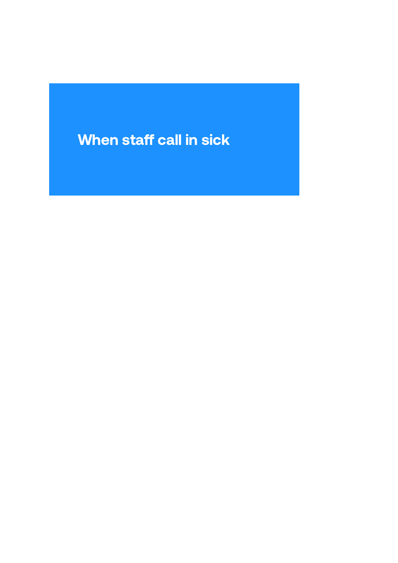# When staff call in sick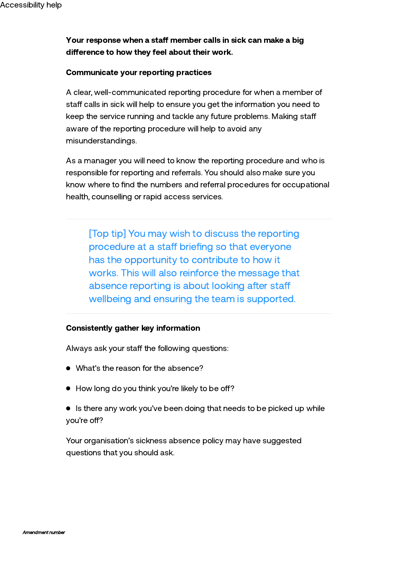### Your response when a staff member calls in sick can make a big difference to how they feel about their work.

### Communicate your reporting practices

A clear, well-communicated reporting procedure for when a member of staff calls in sick will help to ensure you get the information you need to keep the service running and tackle any future problems. Making sta aware of the reporting procedure will help to avoid any misunderstandings.

As a manager you will need to know the reporting procedure and who is responsible for reporting and referrals. You should also make sure you know where to find the numbers and referral procedures for occupational health, counselling or rapid access services.

[Top tip] You may wish to discuss the reporting procedure at a staff briefing so that everyone has the opportunity to contribute to how it works. This will also reinforce the message that absence reporting is about looking after sta wellbeing and ensuring the team is supported.

### Consistently gather key information

Always ask your staff the following questions:

- What's the reason for the absence?
- $\bullet$  How long do you think you're likely to be off?
- Is there any work you've been doing that needs to be picked up while you're off?

Your organisation's sickness absence policy may have suggested questions that you should ask.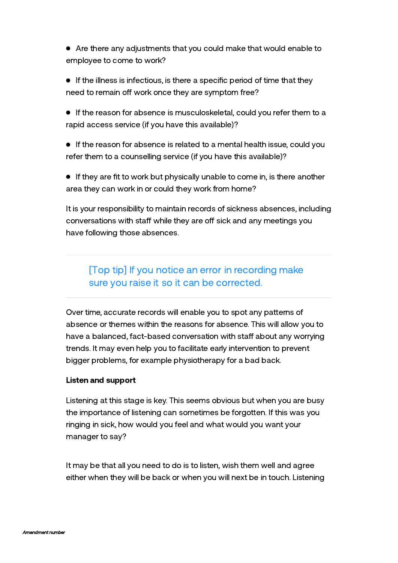- Are there any adjustments that you could make that would enable to employee to come to work?
- $\bullet$  If the illness is infectious, is there a specific period of time that they need to remain off work once they are symptom free?
- If the reason for absence is musculoskeletal, could you refer them to a rapid access service (if you have this available)?
- **If the reason for absence is related to a mental health issue, could you** refer them to a counselling service (if you have this available)?
- **If they are fit to work but physically unable to come in, is there another** area they can work in or could they work from home?

It is your responsibility to maintain records of sickness absences, including conversations with staff while they are off sick and any meetings you have following those absences.

## [Top tip] If you notice an error in recording make sure you raise it so it can be corrected.

Over time, accurate records will enable you to spot any patterns of absence or themes within the reasons for absence. This will allow you to have a balanced, fact-based conversation with staff about any worrying trends. It may even help you to facilitate early intervention to prevent bigger problems, for example physiotherapy for a bad back.

### Listen and support

Listening at this stage is key. This seems obvious but when you are busy the importance of listening can sometimes be forgotten. If this was you ringing in sick, how would you feel and what would you want your manager to say?

It may be that all you need to do is to listen, wish them well and agree either when they will be back or when you will next be in touch. Listening